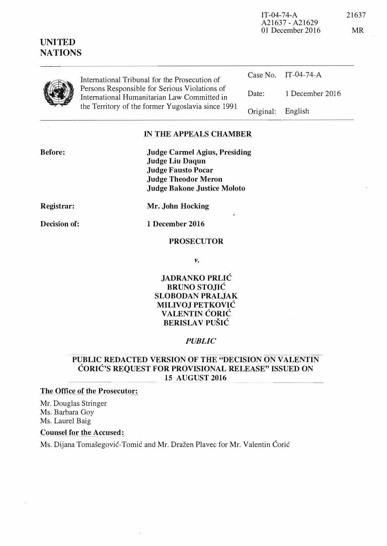| <b>UNITED</b><br><b>NATIONS</b> |                                                                                                                                                   | A21637 - A21629<br>01 December 2016 |                     | MR. |
|---------------------------------|---------------------------------------------------------------------------------------------------------------------------------------------------|-------------------------------------|---------------------|-----|
|                                 | International Tribunal for the Prosecution of                                                                                                     |                                     | Case No. IT-04-74-A |     |
|                                 | Persons Responsible for Serious Violations of<br>International Humanitarian Law Committed in<br>the Territory of the former Yugoslavia since 1991 | Date:                               | 1 December 2016     |     |
|                                 |                                                                                                                                                   | Original:                           | English             |     |

IT-04-74-A 21637

## IN THE APPEALS CHAMBER

| <b>Before:</b> | <b>Judge Carmel Agius, Presiding</b> |
|----------------|--------------------------------------|
|                | <b>Judge Liu Daqun</b>               |
|                | <b>Judge Fausto Pocar</b>            |
|                | <b>Judge Theodor Meron</b>           |
|                | <b>Judge Bakone Justice Moloto</b>   |
|                |                                      |

Registrar:

Decision of:

Mr. John Hocking

1 December 2016

#### PROSECUTOR

v.

## JADRANKO PRLIC BRUNO STOJIC SLOBODAN PRALJAK MILIVOJ PETKOVIC VALENTIN CORIC BERISLAV PUŠIĆ

## **PUBLIC**

## PUBLIC REDACTED VERSION OF THE "DECISION ON VALENTIN CORIC'S REQUEST FOR PROVISIONAL RELEASE" ISSUED ON 15 AUGUST 2016

#### The Office of the Prosecutor:

Mr. Douglas Stringer Ms. Barbara Goy Ms. Laurel Baig

## Counsel for the Accused:

Ms. Dijana Tomašegović-Tomić and Mr. Dražen Plavec for Mr. Valentin Ćorić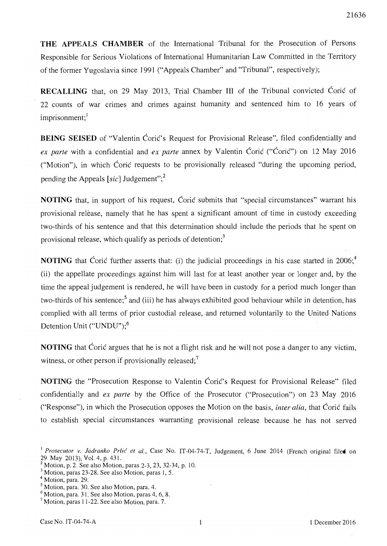THE APPEALS CHAMBER of the International Tribunal for the Prosecution of Persons Responsible for Serious Violations of International Humanitarian Law of the former Yugoslavia since 1991 ("Appeals Chamber" and "Tribunal",

RECALLING that, on 29 May 2013, Trial Chamber III of the Tribunal convicted Ćorić of 22 counts of war crimes and crimes against humanity and sentenced him to 16 years of  $imprisomment;$ <sup>1</sup>

BEING SEISED of "Valentin Coric's Request for Provisional Release", filed confidentially and ex parte with a confidential and ex parte annex by Valentin Coric ("Coric") on 12 May 2016 ("Motion"), in which Coric requests to be provisionally released "during the upcoming period, the Appeals [sic] Judgement";<sup>2</sup>

**NOTING** that, in support of his request, Coric submits that "special circumstances" warrant his provisional relèase, namely that he has spent a significant amount of time in custody exceedir of his sentence and that this determination should include the periods that he spent on provisional release, which qualify as periods of detention; $3$ 

**NOTING** that Coric further asserts that: (i) the judicial proceedings (ii) the appellate proceedings against him will last for at least the appeal judgement is rendered, he will have been in custody for a period much longer than of his sentence;<sup>3</sup> and (iii) he has always exhibited good behaviour while in detention, has complied with all terms of prior custodial release, and returned voluntarily to the United Nations Unit ("UNDU"); $<sup>6</sup>$ </sup>

NOTING that Coric argues that he is not a flight risk and he will not pose a danger to any victim, witness, or other person if provisionally released;<sup>7</sup>

NOTING the "Prosecution Response to Valentin Ćorić's Request for Provisional Release" filed confidentially and ex parte by the Office of the Prosecutor ("Prosecution") on 23 May 2016 ("Response"), in which the Prosecution opposes the Motion on the basis, *inter alia*, that Corić to establish special circumstances warranting provisional release because he has not

- <sup>5</sup>Motion, para. 30. See also Motion, para. 4.
- $6$  Motion, para. 31. See also Motion, paras 4, 6, 8.

<sup>&#</sup>x27; Prosecutor v. Jadranko Prlić et al., Case No. IT-04-74-T, Judgement, 6 June 2014 (French original filed on 29 May 2013), Vol. 4, p. 431.

 $2$  Motion, p. 2. See also Motion, paras 2-3, 23, 32-34, p. 10.

<sup>&</sup>lt;sup>3</sup> Motion, paras 23-28. See also Motion, paras 1, 5.

<sup>&</sup>lt;sup>4</sup> Motion, para. 29.

 $<sup>7</sup>$  Motion, paras 11-22. See also Motion, para. 7.</sup>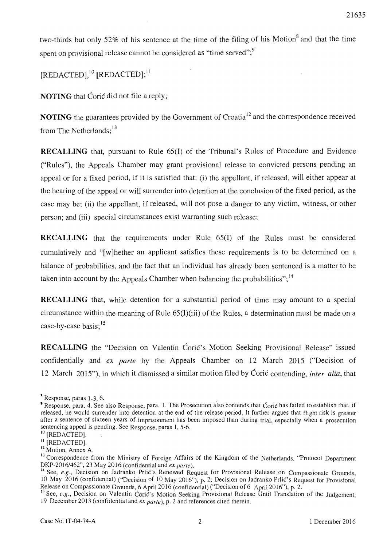two-thirds but only 52% of his sentence at the time of the filing of his Motion  $\delta$  and that the on provisional release cannot be considered as

 $[REDACTED]$ ,  $[0]$   $[REDACTED]$ ;  $[1]$ 

**NOTING** that Coric did not file a reply;

**NOTING** the guarantees provided by the Government of  $C$ roatia<sup>12</sup> and the correspondence received from The Netherlands: $^{13}$ 

RECALLING that, pursuant to Rule 65(I) of the Tribunal's Rules of Procedure and Evidence ("Rules"), the Appeals Chamber may grant provisional release to convicted persons pending an appeal or for a fixed period, if it is satisfied that: (i) the appellant, if released, will either appear at the hearing of the appeal or will surrender into detention at the conclusion of the fixed period, as the case may be; (ii) the appellant, if released, will not pose a danger to any victim, witness, or other person; and (iii) special circumstances exist warranting such release;

**RECALLING** that the requirements under Rule  $65(I)$  of the Rules must be considered an applicant satisfies these requirements is to be determined on a balance of probabilities, and the fact that an individual has already been sentenced is a matter to be taken into account by the Appeals Chamber when balancing the probabilities";  $^{14}$ 

RECALLING that, while detention for a substantial period of time may amount to a special circumstance within the meaning of Rule  $65(I)(iii)$  of the Rules, a determination must be made on a case-by-case basis;<sup>15</sup>

RECALLING the "Decision on Valentin Corić's Motion Seeking Provisional Release" issued confidentially and ex parte by the Appeals Chamber on 12 March 2015 ("Decision of 12 March 2015"), in which it dismissed a similar motion filed by Coric contending, *inter alia*, that

 $8$ Response, paras 1-3, 6.

Response, para. 4. See also Response, para. 1. The Prosecution also contends that Ćorić has failed to establish that, if released, he would surrender into detention at the end of the release period. It further argues that flight risk is greater after a sentence of sixteen years of imprisonment has been imposed than during trial, especially when a prosecution sentencing appeal is pending. See Response, paras 1, 5-6.

<sup>&</sup>lt;sup>10</sup> [REDACTED].

<sup>11</sup> [REDACTED].

<sup>&</sup>lt;sup>12</sup> Motion, Annex A.

<sup>&</sup>lt;sup>13</sup> Correspondence from the Ministry of Foreign Affairs of the Kingdom of the Netherlands, "Protocol Department DKP-2016/462", 23 May 2016 (confidential and  $ex$  parte).

<sup>&</sup>lt;sup>14</sup> See, e.g., Decision on Jadranko Prlić's Renewed Request for Provisional Release on Compassionate Grounds, 10 May 2016 (confidential) ("Decision of 10 May 2016"), p. 2; Decision on Jadranko Prlić's Reques Release on Compassionate Grounds, 6 April 2016 (confidential) ("Decision of 6 April 2016"), p. 2.

 $\degree$  See, e.g., Decision on Valentin Coric's Motion Seeking Provisional Release Until Translation of the 19 December 2013 (confidential and *ex parte*), p. 2 and references cited therein.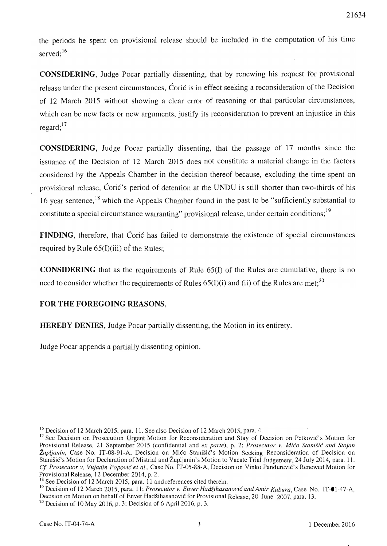the periods he spent on provisional release should be included in the computation of his time served;<sup>16</sup>

CONSIDERING, Judge Pocar partially dissenting, that by renewing his request for provisional release under the present circumstances, Coric is in effect seeking a reconsideration of the Decision March 2015 without showing a clear error of reasoning or that particular circumstances, which can be new facts or new arguments, justify its reconsideration to prevent an injustice regard: $17$ 

**CONSIDERING**, Judge Pocar partially dissenting, that the passage of 17 months since the issuance of the Decision of 12 March 2015 does not constitute a material change in the factors considered the Appeals Chamber in the decision thereof because, excluding the time spent on provisional release. Coric's period of detention at the UNDU is still shorter than two-thirds of his 16 year sentence, <sup>18</sup> which the Appeals Chamber found in the past to be "sufficiently substantial to constitute a special circumstance warranting" provisional release, under certain conditions; <sup>19</sup>

FINDING, therefore, that Coric has failed to demonstrate the existence of special circumstances required by Rule  $65(I)(iii)$  of the Rules;

**CONSIDERING** that as the requirements of Rule  $65(I)$  of the Rules are cumulative, there is no need to consider whether the requirements of Rules  $65(I)(i)$  and (ii) of the Rules are met;<sup>20</sup>

## FOR THE FOREGOING REASONS,

HEREBY DENIES, Judge Pocar partially dissenting, the Motion in its entirety.

Judge Pocar appends a partially dissenting opinion.

 $16$  Decision of 12 March 2015, para. 11. See also Decision of 12 March 2015, para. 4.

<sup>&</sup>lt;sup>17</sup> See Decision on Prosecution Urgent Motion for Reconsideration and Stay of Decision on Petković's Motion for Provisional Release, 21 September 2015 (confidential and ex parte), p. 2; Prosecutor v. Mico Stanišic and Stojan Župljanin, Case No. IT-08-91-A, Decision on Mićo Stanišić's Motion Seeking Reconsideration of Decision on Stanišić's Motion for Declaration of Mistrial and Župljanin's Motion to Vacate Trial Judgement, 24 July 2014, para. 11. Cf. Prosecutor v. Vujadin Popović et al., Case No. IT-05-88-A, Decision on Vinko Pandurević's Renewed Motion for Provisional Release, 12 December 2014, p. 2.

<sup>&</sup>lt;sup>18</sup> See Decision of 12 March 2015, para. 11 and references cited therein.

<sup>&</sup>lt;sup>1</sup> Decision of 12 March 2015, para. 11; *Prosecutor v. Enver Hadžihasanović and Amir Kubura*, Case No. IT-01-47-A, Decision on Motion on behalf of Enver Hadžihasanović for Provisional Release, 20 June 2007, para. 13.

<sup>&</sup>lt;sup>20</sup> Decision of 10 May 2016, p. 3; Decision of 6 April 2016, p. 3.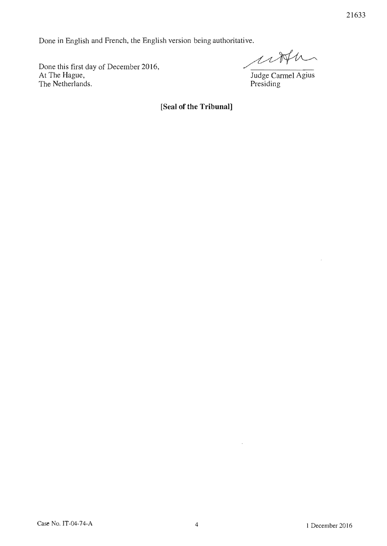Done in English and French, the English version being authoritative.

utter

Done this first day of December 2016, At The Hague, The Netherlands.

Judge Agius Presiding

[Seal of the Tribunal]

 $\ddot{\phantom{a}}$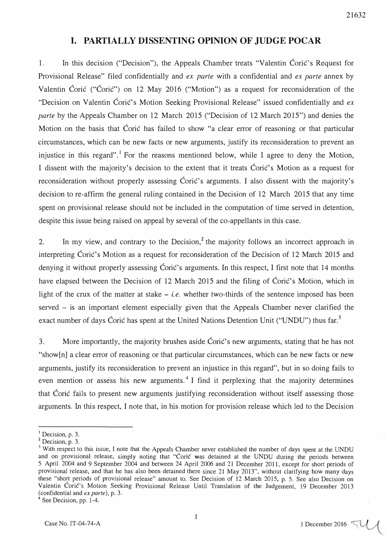# I. PARTIALLY DISSENTING OPINION OF JUDGE POCAR

1. In this decision ("Decision"), the Appeals Chamber treats "Valentin Corie's Request for Provisional Release" filed confidentially and ex parte with a confidential and ex parte annex by Valentin Ćorić ("Ćorić") on 12 May 2016 ("Motion") as a request for reconsideration of the "Decision on Valentin Ćorić's Motion Seeking Provisional Release" issued confidentially and  $ex$ parte by the Appeals Chamber on 12 March 2015 ("Decision of 12 March 2015") and denies the Motion on the basis that Coric has failed to show "a clear error of reasoning or that particular circumstances, which can be new facts or new arguments, justify its reconsideration to prevent an injustice in this regard".<sup>1</sup> For the reasons mentioned below, while I agree to deny the Motion, I dissent with the majority's decision to the extent that it treats Coric's Motion as a request for reconsideration without properly assessing Coric's arguments. I also dissent with the majority's decision to re-affirm the general ruling contained in the Decision of 12 March 2015 that any time spent on provisional release should not be included in the computation of time served in detention, despite this issue being raised on appeal by several of the co-appellants in this case.

2. In my view, and contrary to the Decision,  $2$  the majority follows an incorrect approach in interpreting Coric's Motion as a request for reconsideration of the Decision of 12 March 2015 and denying it without properly assessing Coric's arguments. In this respect, I first note that 14 months have elapsed between the Decision of 12 March 2015 and the filing of Corie's Motion, which in light of the crux of the matter at stake  $-i.e.$  whether two-thirds of the sentence imposed has been served – is an important element especially given that the Appeals Chamber never clarified the exact number of days Coric has spent at the United Nations Detention Unit ("UNDU") thus far.<sup>3</sup>

 $\dot{\mathbf{3}}$ . More importantly, the majority brushes aside Coric's new arguments, stating that he has not "show[n] a clear error of reasoning or that particular circumstances, which can be new facts or new arguments, justify its reconsideration to prevent an injustice in this regard", but in so doing fails to even mention or assess his new arguments.<sup>4</sup> I find it perplexing that the majority determines that Coric fails to present new arguments justifying reconsideration without itself assessing those arguments. In this respect, I note that, in his motion for provision release which led to the Decision

See Decision, pp. 1-4.

<sup>&</sup>lt;sup>1</sup> Decision, p. 3.

 $<sup>2</sup>$  Decision, p. 3.</sup>

<sup>&</sup>lt;sup>3</sup> With respect to this issue, I note that the Appeals Chamber never established the number of days spent at the UNDU and on provisional release, simply noting that "Coric was detained at the UNDU during the periods between 5 April 2004 and 9 September 2004 and between 24 April 2006 and 21 December 2011, except for short periods of provisional release, and that he has also been detained there since 21 May 2013", without clarifying how many days these "short periods of provisional release" amount to. See Decision of 12 March 2015, p. 5. See also Decision on Valentin Ćorić's Motion Seeking Provisional Release Until Translation of the Judgement, 19 December 2013 (confidential and ex parte), p. 3.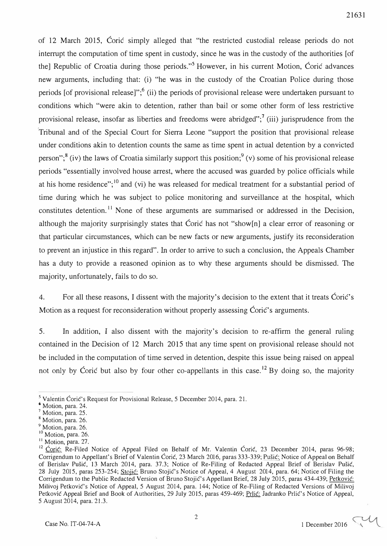of 12 March 2015, Coric simply alleged that "the restricted custodial release periods do not interrupt the computation of time spent in custody, since he was in the custody of the authorities [of the] Republic of Croatia during those periods."<sup>5</sup> However, in his current Motion, Coric advances new arguments, including that: (i) "he was in the custody of the Croatian Police during those periods [of provisional release]";<sup>6</sup> (ii) the periods of provisional release were undertaken pursuant to conditions which "were akin to detention, rather than bail or some other form of less restrictive provisional release, insofar as liberties and freedoms were abridged";<sup>7</sup> (iii) jurisprudence from the 'Tribunal and of the Special Court for Sierra Leone "support the position that provisional release under conditions akin to detention counts the same as time spent in actual detention by a convicted person":<sup>8</sup> (iv) the laws of Croatia similarly support this position:<sup>9</sup> (v) some of his provisional release periods "essentially involved house arrest, where the accused was guarded by police officials while at his home residence";  $^{10}$  and (vi) he was released for medical treatment for a substantial period of time during which he was subject to police monitoring and surveillance at the hospital, which constitutes detention.<sup>11</sup> None of these arguments are summarised or addressed in the Decision, although the majority surprisingly states that Coric has not "show[n] a clear error of reasoning or that particular circumstances, which can be new facts or new arguments, justify its reconsideration to prevent an injustice in this regard". In order to arrive to such a conclusion, the Appeals Chamber has a duty to provide a reasoned opinion as to why these arguments should be dismissed. The majority, unfortunately, fails to do so.

4. For all these reasons, I dissent with the majority's decision to the extent that it treats Coric's Motion as a request for reconsideration without properly assessing Corie's arguments.

5. In addition, I also dissent with the majority's decision to re-affirm the general ruling contained in the Decision of 12 March 2015 that any time spent on provisional release should not be included in the computation of time served in detention, despite this issue being raised on appeal not only by Coric but also by four other co-appellants in this case.<sup>12</sup> By doing so, the majority

 $<sup>5</sup>$  Valentin Coric's Request for Provisional Release, 5 December 2014, para. 21.</sup>

<sup>6</sup>Motion, para. 24.

<sup>&</sup>lt;sup>7</sup> Motion, para. 25.

<sup>&</sup>lt;sup>8</sup> Motion, para. 26.

<sup>&</sup>lt;sup>9</sup> Motion, para. 26.

<sup>&</sup>lt;sup>10</sup> Motion, para. 26.

<sup>&</sup>lt;sup>11</sup> Motion, para. 27.

<sup>&</sup>lt;sup>12</sup> Corie: Re-Filed Notice of Appeal Filed on Behalf of Mr. Valentin Corie, 23 December 2014, paras 96-98; Corrigendum to Appellant's Brief of Valentin Coric, 23 March 2016, paras 333-339; Pusic: Notice of Appeal on Behalf of Berislav Pusie, 13 March 2014, para. 37.3; Notice of Re-Filing of Redacted Appeal Brief of Berislav Pusic, 28 July 2015, paras 253-254; Stojie: Bruno StojiC's Notice of Appeal, 4 August 2014, para. 64; Notice of Filing the Corrigendum to the Public Redacted Version of Bruno Stojić's Appellant Brief, 28 July 2015, paras 434-439; Petković: Milivoj Petkovic's Notice of Appeal, 5 August 2014, para. 144; Notice of Re-Filing of Redacted Versions of Milivoj Petković Appeal Brief and Book of Authorities, 29 July 2015, paras 459-469; Prlić: Jadranko Prlić's Notice of Appeal, 5 August 2014, para. 21.3.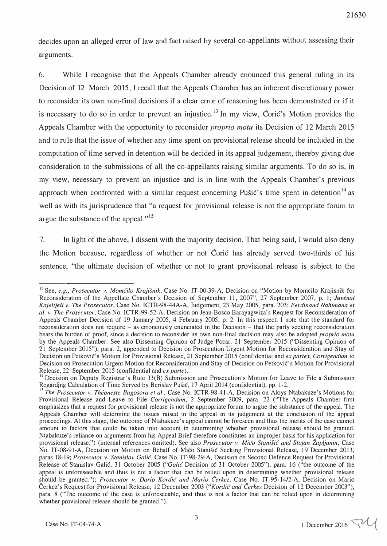decides upon an alleged error of law and fact raised by several co-appellants without assessing their arguments.

6. While I recognise that the Appeals Chamber already enounced this general ruling in its Decision of 12 March 2015, I recall that the Appeals Chamber has an inherent discretionary power to reconsider its own non-final decisions if a clear error of reasoning has been demonstrated or if it is necessary to do so in order to prevent an injustice.<sup>13</sup> In my view, Coric's Motion provides the Appeals Chamber with the opportunity to reconsider proprio motu its Decision of 12 March 2015 and to rule that the issue of whether any time spent on provisional release should be included in the computation of time served in detention will be decided in its appeal judgement, thereby giving due consideration to the submissions of all the co-appellants raising similar arguments. To do so is, in my view, necessary to prevent an injustice and is in line with the Appeals Chamber's previous approach when confronted with a similar request concerning Pušić's time spent in detention<sup>14</sup> as well as with its jurisprudence that "a request for provisional release is not the appropriate forum to argue the substance of the appeal."<sup>15</sup>

7. In light of the above, I dissent with the majority decision. That being said, I would also deny the Motion because, regardless of whether or not Ćorić has already served two-thirds of his sentence, "the ultimate decision of whether or not to grant provisional release is subject to the

<sup>&</sup>lt;sup>13</sup> See, e.g., Prosecutor v. Momčilo Krajišnik, Case No. IT-00-39-A, Decision on "Motion by Momcilo Krajisnik for Reconsideration of the Appellate Chamber's Decision of September 11, 2007", 27 September 2007, p. 1; Juvénal Kajelijeli v. The Prosecutor, Case No. ICTR-98-44A-A, Judgement, 23 May 2005, para. 203; Ferdinand Nahimana et al. v. The Prosecutor, Case No. ICTR-99-52-A, Decision on Jean-Bosco Barayagwiza's Request for Reconsideration of Appeals Chamber Decision of 19 January 2005, 4 February 2005, p. 2. In this respect, I note that the standard for reconsideration does not require - as erroneously enunciated in the Decision - that the party seeking reconsideration bears the burden of proof, since a decision to reconsider its own non-final decision may also be adopted *proprio motu* by the Appeals Chamber. See also Dissenting Opinion of Judge Pocar, 21 September 2015 ("Dissenting Opinion of 21 September 2015"), para. 2, appended to Decision on Prosecution Urgent Motion for Reconsideration and Stay of Decision on Petković's Motion for Provisional Release, 21 September 2015 (confidential and ex parte); Corrigendum to Decision on Prosecution Urgent Motion for Reconsideration and Stay of Decision on Petkovic's Motion for Provisional Release, 22 September 2015 (confidential and ex parte).

<sup>&</sup>lt;sup>14</sup> Decision on Deputy Registrar's Rule 33(B) Submission and Prosecution's Motion for Leave to File a Submission Regardjng Calculation of Time Served by Berislav Pusic, 17 April 2014 (confidential), pp. 1-2.

<sup>&</sup>lt;sup>15</sup> The Prosecutor v. Théoneste Bagosora et al., Case No. ICTR-98-41-A, Decision on Aloys Ntabakuze's Motions for Provisional Release and Leave to File Corrigendum, 2 September 2009, para. 22 ("The Appeals Chamber first emphasizes that a request for provisional release is not the appropriate forum to argue the substance of the appeal. The Appeals Chamber will determine the issues raised in the appeal in its judgement at the conclusion of the appeal proceedings. At this stage, the outcome of Ntabakuze's appeal cannot be foreseen and thus the merits of the case cannot amount to factors that could be taken into account in determining whether provisional release should be granted. Ntabakuze's reliance on arguments from his Appeal Brief therefore constitutes an improper basis for his application for provisional release.") (internal references omitted). See also Prosecutor v. Mićo Stanišić and Stojan Župljanin, Case No. 1T-08-91-A, Decision on Motion on Behalf of Mico Stanisic Seeking Provisional Release, 19 December 2013, paras 18-19; Prosecutor v. Stanislav Galić, Case No. IT-98-29-A, Decision on Second Defence Request for Provisional Release of Stanislav Galic, 31 October 2005 ("Galic Decision of 31 October 2005"), para. 16 ("the outcome of the appeal is unforeseeable and thus is not a factor that can be relied upon in determining whether provisional release should be granted."); Prosecutor v. Dario Kordić and Mario Čerkez, Case No. IT-95-14/2-A, Decision on Mario Čerkez's Request for Provisional Release, 12 December 2003 ("Kordic and Čerkez Decision of 12 December 2003"), para. 8 ("The outcome of the case is unforeseeable, and thus is not a factor that can be relied upon in determining whether provisional release should be granted.").